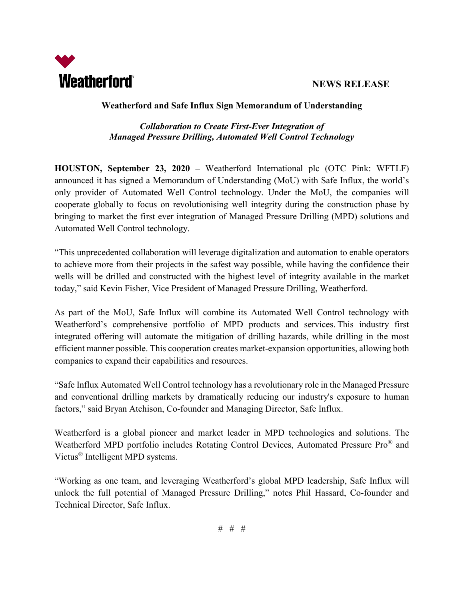



#### **Weatherford and Safe Influx Sign Memorandum of Understanding**

## *Collaboration to Create First-Ever Integration of Managed Pressure Drilling, Automated Well Control Technology*

**HOUSTON, September 23, 2020 –** Weatherford International plc (OTC Pink: WFTLF) announced it has signed a Memorandum of Understanding (MoU) with Safe Influx, the world's only provider of Automated Well Control technology. Under the MoU, the companies will cooperate globally to focus on revolutionising well integrity during the construction phase by bringing to market the first ever integration of Managed Pressure Drilling (MPD) solutions and Automated Well Control technology.

"This unprecedented collaboration will leverage digitalization and automation to enable operators to achieve more from their projects in the safest way possible, while having the confidence their wells will be drilled and constructed with the highest level of integrity available in the market today," said Kevin Fisher, Vice President of Managed Pressure Drilling, Weatherford.

As part of the MoU, Safe Influx will combine its Automated Well Control technology with Weatherford's comprehensive portfolio of MPD products and services. This industry first integrated offering will automate the mitigation of drilling hazards, while drilling in the most efficient manner possible. This cooperation creates market-expansion opportunities, allowing both companies to expand their capabilities and resources.

"Safe Influx Automated Well Control technology has a revolutionary role in the Managed Pressure and conventional drilling markets by dramatically reducing our industry's exposure to human factors," said Bryan Atchison, Co-founder and Managing Director, Safe Influx.

Weatherford is a global pioneer and market leader in MPD technologies and solutions. The Weatherford MPD portfolio includes Rotating Control Devices, Automated Pressure Pro® and Victus® Intelligent MPD systems.

"Working as one team, and leveraging Weatherford's global MPD leadership, Safe Influx will unlock the full potential of Managed Pressure Drilling," notes Phil Hassard, Co-founder and Technical Director, Safe Influx.

# # #